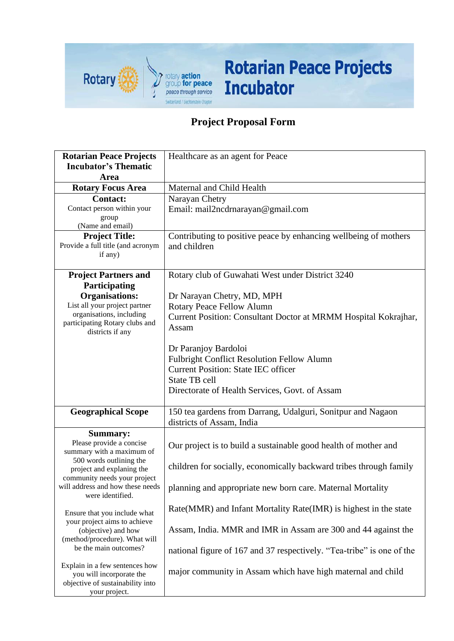

## **Rotarian Peace Projects Incubator**

## **Project Proposal Form**

| <b>Rotarian Peace Projects</b>                               | Healthcare as an agent for Peace                                      |
|--------------------------------------------------------------|-----------------------------------------------------------------------|
| <b>Incubator's Thematic</b>                                  |                                                                       |
| Area                                                         |                                                                       |
| <b>Rotary Focus Area</b>                                     | Maternal and Child Health                                             |
| <b>Contact:</b>                                              | Narayan Chetry                                                        |
| Contact person within your                                   | Email: mail2ncdrnarayan@gmail.com                                     |
| group<br>(Name and email)                                    |                                                                       |
| <b>Project Title:</b>                                        | Contributing to positive peace by enhancing wellbeing of mothers      |
| Provide a full title (and acronym                            | and children                                                          |
| if any)                                                      |                                                                       |
|                                                              |                                                                       |
| <b>Project Partners and</b>                                  | Rotary club of Guwahati West under District 3240                      |
| Participating                                                |                                                                       |
| <b>Organisations:</b><br>List all your project partner       | Dr Narayan Chetry, MD, MPH<br>Rotary Peace Fellow Alumn               |
| organisations, including                                     | Current Position: Consultant Doctor at MRMM Hospital Kokrajhar,       |
| participating Rotary clubs and                               | Assam                                                                 |
| districts if any                                             |                                                                       |
|                                                              | Dr Paranjoy Bardoloi                                                  |
|                                                              | <b>Fulbright Conflict Resolution Fellow Alumn</b>                     |
|                                                              | <b>Current Position: State IEC officer</b>                            |
|                                                              | <b>State TB cell</b>                                                  |
|                                                              | Directorate of Health Services, Govt. of Assam                        |
|                                                              |                                                                       |
| <b>Geographical Scope</b>                                    | 150 tea gardens from Darrang, Udalguri, Sonitpur and Nagaon           |
|                                                              | districts of Assam, India                                             |
| <b>Summary:</b>                                              |                                                                       |
| Please provide a concise                                     | Our project is to build a sustainable good health of mother and       |
| summary with a maximum of<br>500 words outlining the         |                                                                       |
| project and explaning the                                    | children for socially, economically backward tribes through family    |
| community needs your project                                 |                                                                       |
| will address and how these needs<br>were identified.         | planning and appropriate new born care. Maternal Mortality            |
|                                                              |                                                                       |
| Ensure that you include what                                 | Rate(MMR) and Infant Mortality Rate(IMR) is highest in the state      |
| your project aims to achieve                                 | Assam, India. MMR and IMR in Assam are 300 and 44 against the         |
| (objective) and how<br>(method/procedure). What will         |                                                                       |
| be the main outcomes?                                        | national figure of 167 and 37 respectively. "Tea-tribe" is one of the |
|                                                              |                                                                       |
| Explain in a few sentences how                               | major community in Assam which have high maternal and child           |
| you will incorporate the<br>objective of sustainability into |                                                                       |
| your project.                                                |                                                                       |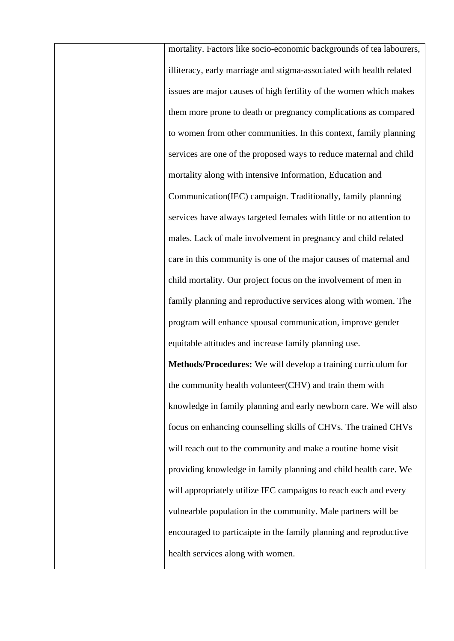mortality. Factors like socio-economic backgrounds of tea labourers, illiteracy, early marriage and stigma-associated with health related issues are major causes of high fertility of the women which makes them more prone to death or pregnancy complications as compared to women from other communities. In this context, family planning services are one of the proposed ways to reduce maternal and child mortality along with intensive Information, Education and Communication(IEC) campaign. Traditionally, family planning services have always targeted females with little or no attention to males. Lack of male involvement in pregnancy and child related care in this community is one of the major causes of maternal and child mortality. Our project focus on the involvement of men in family planning and reproductive services along with women. The program will enhance spousal communication, improve gender equitable attitudes and increase family planning use. **Methods/Procedures:** We will develop a training curriculum for the community health volunteer(CHV) and train them with knowledge in family planning and early newborn care. We will also

focus on enhancing counselling skills of CHVs. The trained CHVs will reach out to the community and make a routine home visit providing knowledge in family planning and child health care. We will appropriately utilize IEC campaigns to reach each and every vulnearble population in the community. Male partners will be encouraged to particaipte in the family planning and reproductive health services along with women.